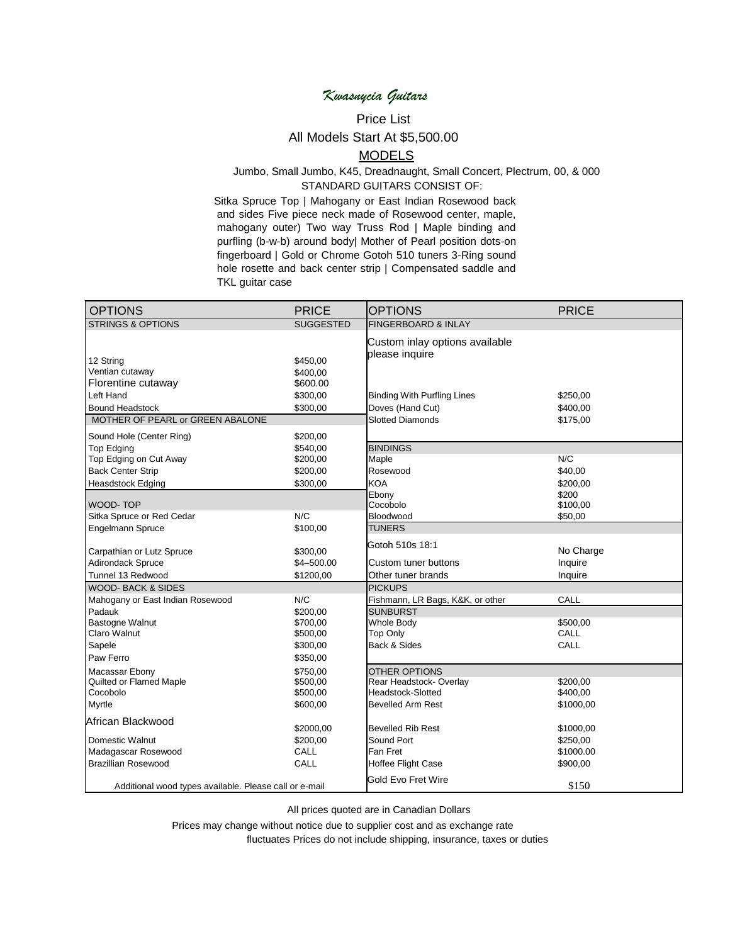# *Kwasnycia Guitars*

## Price List

### All Models Start At \$5,500.00

#### **MODELS**

#### Jumbo, Small Jumbo, K45, Dreadnaught, Small Concert, Plectrum, 00, & 000 STANDARD GUITARS CONSIST OF:

Sitka Spruce Top | Mahogany or East Indian Rosewood back and sides Five piece neck made of Rosewood center, maple, mahogany outer) Two way Truss Rod | Maple binding and purfling (b-w-b) around body| Mother of Pearl position dots-on fingerboard | Gold or Chrome Gotoh 510 tuners 3-Ring sound hole rosette and back center strip | Compensated saddle and TKL guitar case

| <b>OPTIONS</b>                                         | <b>PRICE</b>         | <b>OPTIONS</b>                                   | <b>PRICE</b> |
|--------------------------------------------------------|----------------------|--------------------------------------------------|--------------|
| <b>STRINGS &amp; OPTIONS</b>                           | <b>SUGGESTED</b>     | <b>FINGERBOARD &amp; INLAY</b>                   |              |
|                                                        |                      | Custom inlay options available<br>please inquire |              |
| 12 String<br>Ventian cutaway                           | \$450,00             |                                                  |              |
| Florentine cutaway                                     | \$400,00<br>\$600.00 |                                                  |              |
| Left Hand                                              | \$300,00             | <b>Binding With Purfling Lines</b>               | \$250,00     |
| <b>Bound Headstock</b>                                 | \$300,00             |                                                  | \$400,00     |
| MOTHER OF PEARL or GREEN ABALONE                       |                      | Doves (Hand Cut)<br><b>Slotted Diamonds</b>      | \$175,00     |
|                                                        |                      |                                                  |              |
| Sound Hole (Center Ring)                               | \$200,00             |                                                  |              |
| <b>Top Edging</b>                                      | \$540,00             | <b>BINDINGS</b>                                  |              |
| Top Edging on Cut Away                                 | \$200,00             | Maple                                            | N/C          |
| <b>Back Center Strip</b>                               | \$200,00             | Rosewood                                         | \$40,00      |
| <b>Heasdstock Edging</b>                               | \$300,00             | <b>KOA</b>                                       | \$200,00     |
|                                                        |                      | Ebony                                            | \$200        |
| <b>WOOD-TOP</b>                                        |                      | Cocobolo                                         | \$100,00     |
| Sitka Spruce or Red Cedar                              | N/C                  | Bloodwood                                        | \$50,00      |
| <b>Engelmann Spruce</b>                                | \$100,00             | <b>TUNERS</b>                                    |              |
| Carpathian or Lutz Spruce                              | \$300,00             | Gotoh 510s 18:1                                  | No Charge    |
| Adirondack Spruce                                      | \$4-500.00           | Custom tuner buttons                             | Inquire      |
| Tunnel 13 Redwood                                      | \$1200,00            | Other tuner brands                               | Inquire      |
| <b>WOOD-BACK &amp; SIDES</b>                           |                      | <b>PICKUPS</b>                                   |              |
| Mahogany or East Indian Rosewood                       | N/C                  | Fishmann, LR Bags, K&K, or other                 | CALL         |
| Padauk                                                 | \$200,00             | <b>SUNBURST</b>                                  |              |
| <b>Bastogne Walnut</b>                                 | \$700,00             | Whole Body                                       | \$500,00     |
| Claro Walnut                                           | \$500,00             | <b>Top Only</b>                                  | CALL         |
| Sapele                                                 | \$300,00             | Back & Sides                                     | CALL         |
| Paw Ferro                                              | \$350,00             |                                                  |              |
| Macassar Ebony                                         | \$750,00             | <b>OTHER OPTIONS</b>                             |              |
| Quilted or Flamed Maple                                | \$500,00             | Rear Headstock-Overlay                           | \$200,00     |
| Cocobolo                                               | \$500,00             | <b>Headstock-Slotted</b>                         | \$400,00     |
| Myrtle                                                 | \$600,00             | <b>Bevelled Arm Rest</b>                         | \$1000,00    |
| African Blackwood                                      |                      |                                                  |              |
|                                                        | \$2000,00            | <b>Bevelled Rib Rest</b>                         | \$1000,00    |
| Domestic Walnut                                        | \$200,00             | Sound Port                                       | \$250,00     |
| Madagascar Rosewood                                    | CALL                 | Fan Fret                                         | \$1000.00    |
| <b>Brazillian Rosewood</b>                             | CALL                 | Hoffee Flight Case                               | \$900,00     |
|                                                        |                      | <b>Gold Evo Fret Wire</b>                        |              |
| Additional wood types available. Please call or e-mail |                      |                                                  | \$150        |

All prices quoted are in Canadian Dollars

Prices may change without notice due to supplier cost and as exchange rate

fluctuates Prices do not include shipping, insurance, taxes or duties